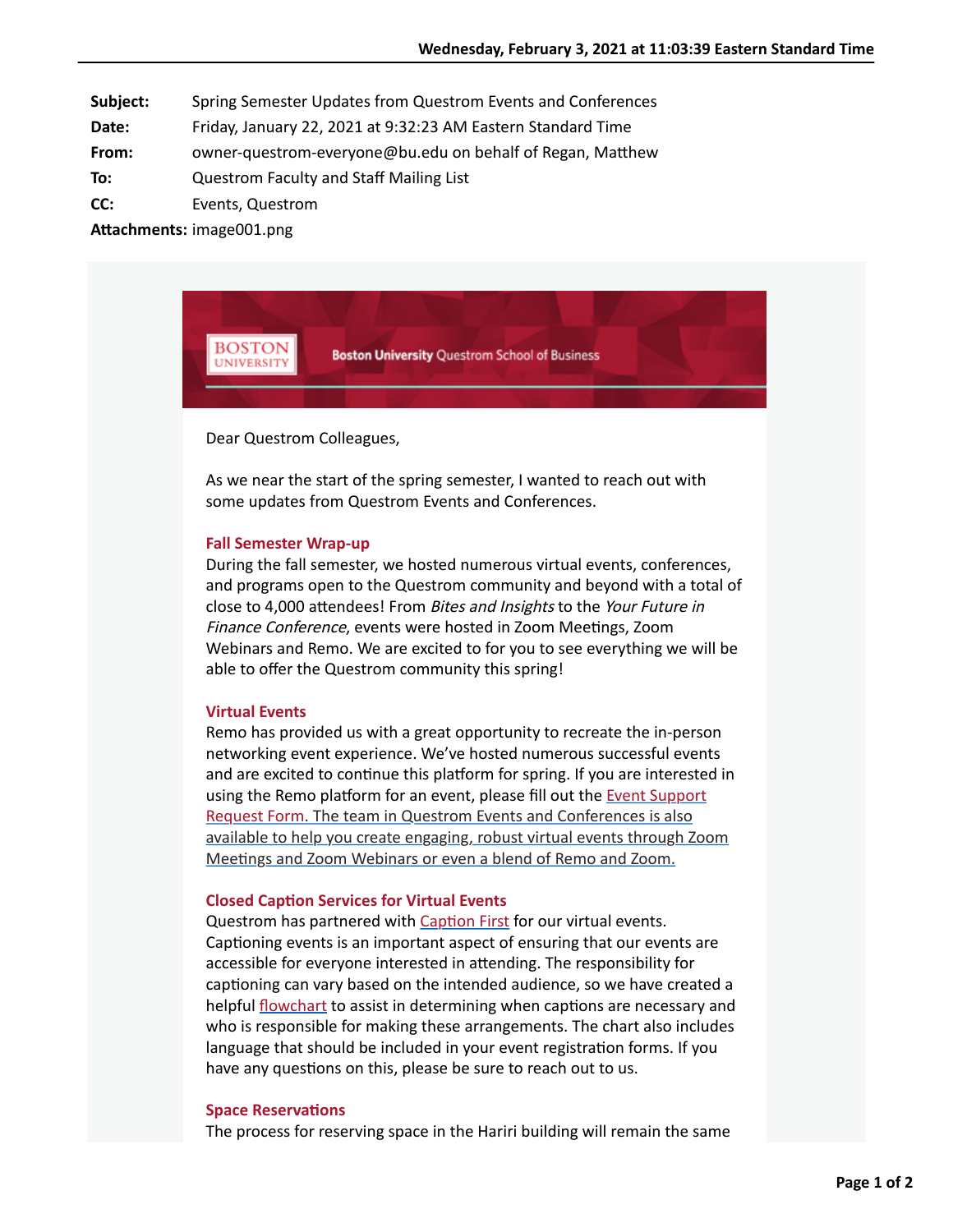**Subject:** Spring Semester Updates from Questrom Events and Conferences

- **Date:** Friday, January 22, 2021 at 9:32:23 AM Eastern Standard Time
- **From:** owner-questrom-everyone@bu.edu on behalf of Regan, Matthew
- **To:** Questrom Faculty and Staff Mailing List
- **CC:** Events, Questrom

**Attachments:** image001.png



Dear Questrom Colleagues,

As we near the start of the spring semester, I wanted to reach out with some updates from Questrom Events and Conferences.

#### **Fall Semester Wrap-up**

During the fall semester, we hosted numerous virtual events, conferences, and programs open to the Questrom community and beyond with a total of close to 4,000 attendees! From Bites and Insights to the Your Future in Finance Conference, events were hosted in Zoom Meetings, Zoom Webinars and Remo. We are excited to for you to see everything we will be able to offer the Questrom community this spring!

# **Virtual Events**

Remo has provided us with a great opportunity to recreate the in-person networking event experience. We've hosted numerous successful events and are excited to continue this platform for spring. If you are interested in using the Remo platform for an event, please fill out the Event Support Request Form. The team in Questrom Events and Conferences is also available to help you create engaging, robust virtual events through Zoom Meetings and Zoom Webinars or even a blend of Remo and Zoom.

### **Closed Caption Services for Virtual Events**

Questrom has partnered with Caption First for our virtual events. Captioning events is an important aspect of ensuring that our events are accessible for everyone interested in attending. The responsibility for captioning can vary based on the intended audience, so we have created a helpful *flowchart* to assist in determining when captions are necessary and who is responsible for making these arrangements. The chart also includes language that should be included in your event registration forms. If you have any questions on this, please be sure to reach out to us.

#### **Space Reservations**

The process for reserving space in the Hariri building will remain the same